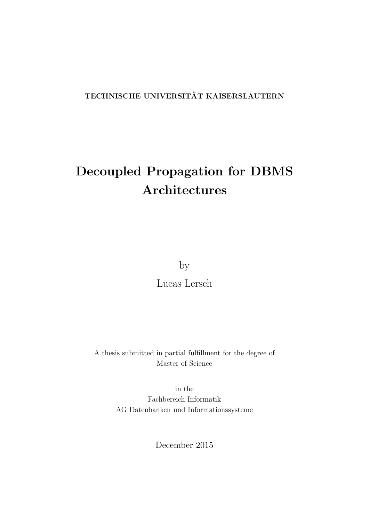### TECHNISCHE UNIVERSITÄT KAISERSLAUTERN

# Decoupled Propagation for DBMS Architectures

by

[Lucas Lersch](hanna.abbott@hogwarts.se)

A thesis submitted in partial fulfillment for the degree of Master of Science

> in the [Fachbereich Informatik](http://www.informatik.uni-kl.de/en/) [AG Datenbanken und Informationssysteme](http://lgis.informatik.uni-kl.de/)

> > December 2015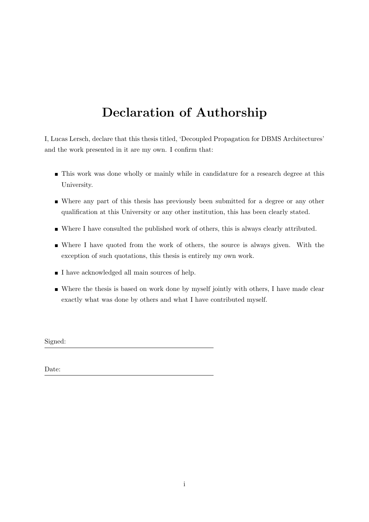## <span id="page-1-0"></span>Declaration of Authorship

I, Lucas Lersch, declare that this thesis titled, 'Decoupled Propagation for DBMS Architectures' and the work presented in it are my own. I confirm that:

- This work was done wholly or mainly while in candidature for a research degree at this University.
- Where any part of this thesis has previously been submitted for a degree or any other qualification at this University or any other institution, this has been clearly stated.
- Where I have consulted the published work of others, this is always clearly attributed.
- Where I have quoted from the work of others, the source is always given. With the exception of such quotations, this thesis is entirely my own work.
- I have acknowledged all main sources of help.
- Where the thesis is based on work done by myself jointly with others, I have made clear exactly what was done by others and what I have contributed myself.

Signed:

Date: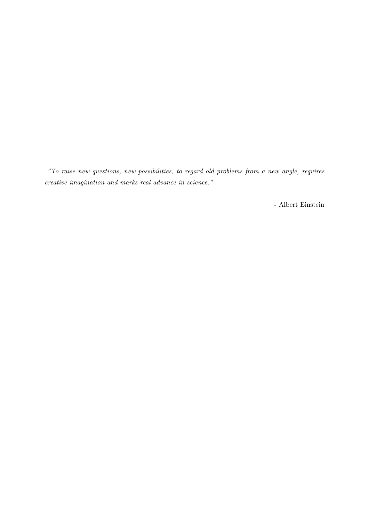"To raise new questions, new possibilities, to regard old problems from a new angle, requires creative imagination and marks real advance in science."

- Albert Einstein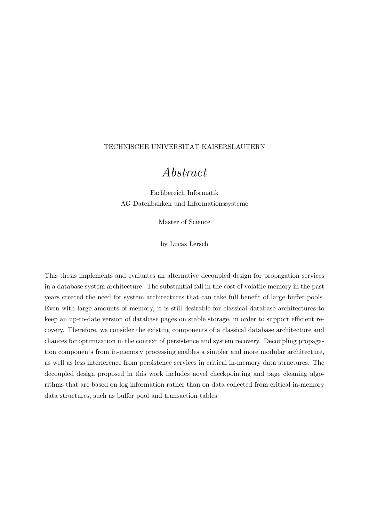#### <span id="page-3-0"></span>TECHNISCHE UNIVERSITÄT KAISERSLAUTERN

### Abstract

[Fachbereich Informatik](http://www.informatik.uni-kl.de/en/) [AG Datenbanken und Informationssysteme](http://lgis.informatik.uni-kl.de/)

Master of Science

by [Lucas Lersch](hanna.abbott@hogwarts.se)

This thesis implements and evaluates an alternative decoupled design for propagation services in a database system architecture. The substantial fall in the cost of volatile memory in the past years created the need for system architectures that can take full benefit of large buffer pools. Even with large amounts of memory, it is still desirable for classical database architectures to keep an up-to-date version of database pages on stable storage, in order to support efficient recovery. Therefore, we consider the existing components of a classical database architecture and chances for optimization in the context of persistence and system recovery. Decoupling propagation components from in-memory processing enables a simpler and more modular architecture, as well as less interference from persistence services in critical in-memory data structures. The decoupled design proposed in this work includes novel checkpointing and page cleaning algorithms that are based on log information rather than on data collected from critical in-memory data structures, such as buffer pool and transaction tables.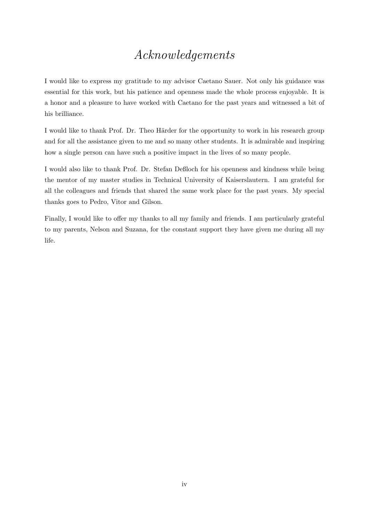## Acknowledgements

<span id="page-4-0"></span>I would like to express my gratitude to my advisor Caetano Sauer. Not only his guidance was essential for this work, but his patience and openness made the whole process enjoyable. It is a honor and a pleasure to have worked with Caetano for the past years and witnessed a bit of his brilliance.

I would like to thank Prof. Dr. Theo Härder for the opportunity to work in his research group and for all the assistance given to me and so many other students. It is admirable and inspiring how a single person can have such a positive impact in the lives of so many people.

I would also like to thank Prof. Dr. Stefan Deßloch for his openness and kindness while being the mentor of my master studies in Technical University of Kaiserslautern. I am grateful for all the colleagues and friends that shared the same work place for the past years. My special thanks goes to Pedro, Vitor and Gilson.

Finally, I would like to offer my thanks to all my family and friends. I am particularly grateful to my parents, Nelson and Suzana, for the constant support they have given me during all my life.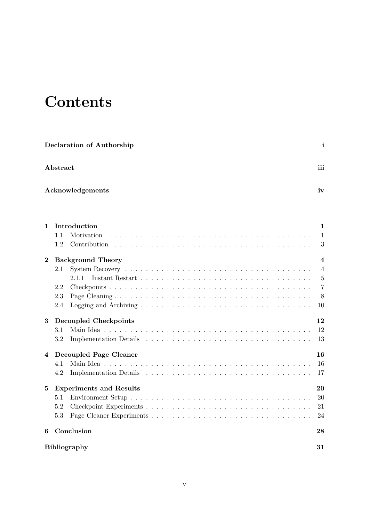# **Contents**

|                | <b>Declaration of Authorship</b>                              | i                                                                                        |
|----------------|---------------------------------------------------------------|------------------------------------------------------------------------------------------|
| Abstract       |                                                               | iii                                                                                      |
|                | Acknowledgements                                              | iv                                                                                       |
| 1              | Introduction<br>1.1<br>Motivation<br>1.2<br>Contribution      | 1<br>1<br>3                                                                              |
| $\overline{2}$ | <b>Background Theory</b><br>2.1<br>2.1.1<br>2.2<br>2.3<br>2.4 | $\overline{\mathbf{4}}$<br>$\overline{4}$<br>$\overline{5}$<br>$\overline{7}$<br>8<br>10 |
| 3              | <b>Decoupled Checkpoints</b><br>3.1<br>3.2                    | $12\,$<br>12<br>13                                                                       |
| 4              | Decoupled Page Cleaner<br>4.1<br>4.2                          | 16<br>16<br>17                                                                           |
| 5              | <b>Experiments and Results</b><br>5.1<br>5.2<br>5.3           | 20<br>20<br>21<br>24                                                                     |
| 6              | Conclusion<br><b>Bibliography</b>                             | 28<br>31                                                                                 |
|                |                                                               |                                                                                          |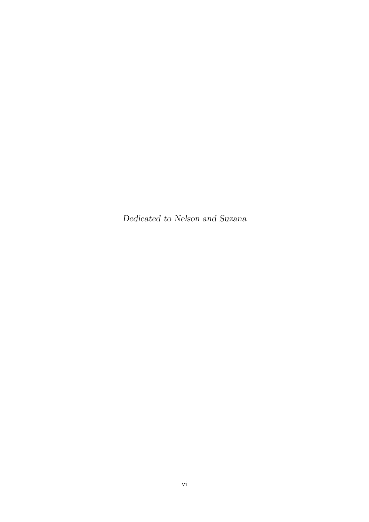Dedicated to Nelson and Suzana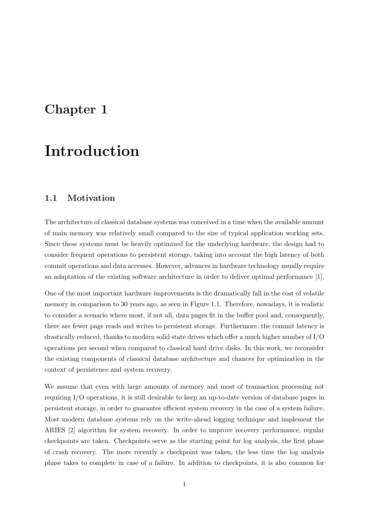## <span id="page-7-0"></span>Chapter 1

## Introduction

### <span id="page-7-1"></span>1.1 Motivation

The architecture of classical database systems was conceived in a time when the available amount of main memory was relatively small compared to the size of typical application working sets. Since these systems must be heavily optimized for the underlying hardware, the design had to consider frequent operations to persistent storage, taking into account the high latency of both commit operations and data accesses. However, advances in hardware technology usually require an adaptation of the existing software architecture in order to deliver optimal performance [\[1\]](#page-37-1).

One of the most important hardware improvements is the dramatically fall in the cost of volatile memory in comparison to 30 years ago, as seen in Figure [1.1.](#page-8-0) Therefore, nowadays, it is realistic to consider a scenario where most, if not all, data pages fit in the buffer pool and, consequently, there are fewer page reads and writes to persistent storage. Furthermore, the commit latency is drastically reduced, thanks to modern solid state drives which offer a much higher number of I/O operations per second when compared to classical hard drive disks. In this work, we reconsider the existing components of classical database architecture and chances for optimization in the context of persistence and system recovery.

We assume that even with large amounts of memory and most of transaction processing not requiring I/O operations, it is still desirable to keep an up-to-date version of database pages in persistent storage, in order to guarantee efficient system recovery in the case of a system failure. Most modern database systems rely on the write-ahead logging technique and implement the ARIES [\[2\]](#page-37-2) algorithm for system recovery. In order to improve recovery performance, regular checkpoints are taken. Checkpoints serve as the starting point for log analysis, the first phase of crash recovery. The more recently a checkpoint was taken, the less time the log analysis phase takes to complete in case of a failure. In addition to checkpoints, it is also common for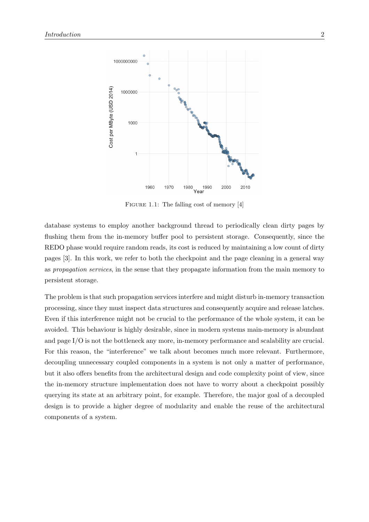<span id="page-8-0"></span>

FIGURE 1.1: The falling cost of memory [\[4\]](#page-37-3)

database systems to employ another background thread to periodically clean dirty pages by flushing them from the in-memory buffer pool to persistent storage. Consequently, since the REDO phase would require random reads, its cost is reduced by maintaining a low count of dirty pages [\[3\]](#page-37-4). In this work, we refer to both the checkpoint and the page cleaning in a general way as propagation services, in the sense that they propagate information from the main memory to persistent storage.

The problem is that such propagation services interfere and might disturb in-memory transaction processing, since they must inspect data structures and consequently acquire and release latches. Even if this interference might not be crucial to the performance of the whole system, it can be avoided. This behaviour is highly desirable, since in modern systems main-memory is abundant and page I/O is not the bottleneck any more, in-memory performance and scalability are crucial. For this reason, the "interference" we talk about becomes much more relevant. Furthermore, decoupling unnecessary coupled components in a system is not only a matter of performance, but it also offers benefits from the architectural design and code complexity point of view, since the in-memory structure implementation does not have to worry about a checkpoint possibly querying its state at an arbitrary point, for example. Therefore, the major goal of a decoupled design is to provide a higher degree of modularity and enable the reuse of the architectural components of a system.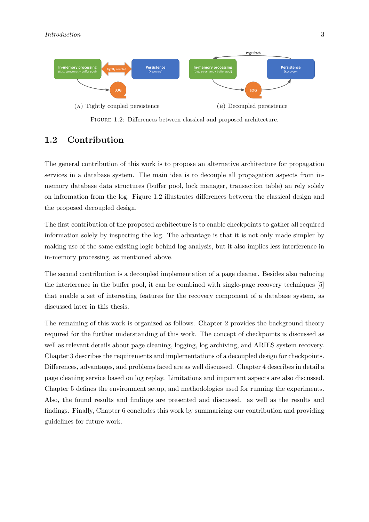<span id="page-9-1"></span>

Figure 1.2: Differences between classical and proposed architecture.

### <span id="page-9-0"></span>1.2 Contribution

The general contribution of this work is to propose an alternative architecture for propagation services in a database system. The main idea is to decouple all propagation aspects from inmemory database data structures (buffer pool, lock manager, transaction table) an rely solely on information from the log. Figure [1.2](#page-9-1) illustrates differences between the classical design and the proposed decoupled design.

The first contribution of the proposed architecture is to enable checkpoints to gather all required information solely by inspecting the log. The advantage is that it is not only made simpler by making use of the same existing logic behind log analysis, but it also implies less interference in in-memory processing, as mentioned above.

The second contribution is a decoupled implementation of a page cleaner. Besides also reducing the interference in the buffer pool, it can be combined with single-page recovery techniques [\[5\]](#page-37-5) that enable a set of interesting features for the recovery component of a database system, as discussed later in this thesis.

The remaining of this work is organized as follows. Chapter [2](#page-10-0) provides the background theory required for the further understanding of this work. The concept of checkpoints is discussed as well as relevant details about page cleaning, logging, log archiving, and ARIES system recovery. Chapter [3](#page-18-0) describes the requirements and implementations of a decoupled design for checkpoints. Differences, advantages, and problems faced are as well discussed. Chapter [4](#page-22-0) describes in detail a page cleaning service based on log replay. Limitations and important aspects are also discussed. Chapter [5](#page-26-0) defines the environment setup, and methodologies used for running the experiments. Also, the found results and findings are presented and discussed. as well as the results and findings. Finally, Chapter [6](#page-34-0) concludes this work by summarizing our contribution and providing guidelines for future work.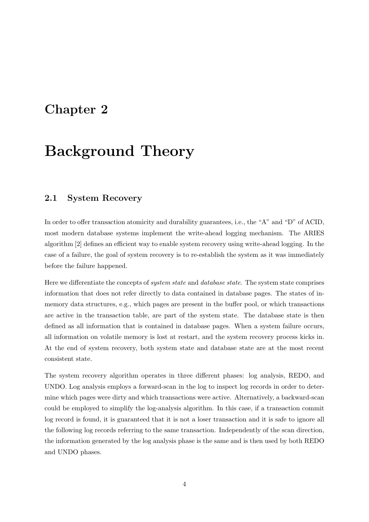## <span id="page-10-0"></span>Chapter 2

## Background Theory

### <span id="page-10-1"></span>2.1 System Recovery

In order to offer transaction atomicity and durability guarantees, i.e., the "A" and "D" of ACID, most modern database systems implement the write-ahead logging mechanism. The ARIES algorithm [\[2\]](#page-37-2) defines an efficient way to enable system recovery using write-ahead logging. In the case of a failure, the goal of system recovery is to re-establish the system as it was immediately before the failure happened.

Here we differentiate the concepts of *system state* and *database state*. The system state comprises information that does not refer directly to data contained in database pages. The states of inmemory data structures, e.g., which pages are present in the buffer pool, or which transactions are active in the transaction table, are part of the system state. The database state is then defined as all information that is contained in database pages. When a system failure occurs, all information on volatile memory is lost at restart, and the system recovery process kicks in. At the end of system recovery, both system state and database state are at the most recent consistent state.

The system recovery algorithm operates in three different phases: log analysis, REDO, and UNDO. Log analysis employs a forward-scan in the log to inspect log records in order to determine which pages were dirty and which transactions were active. Alternatively, a backward-scan could be employed to simplify the log-analysis algorithm. In this case, if a transaction commit log record is found, it is guaranteed that it is not a loser transaction and it is safe to ignore all the following log records referring to the same transaction. Independently of the scan direction, the information generated by the log analysis phase is the same and is then used by both REDO and UNDO phases.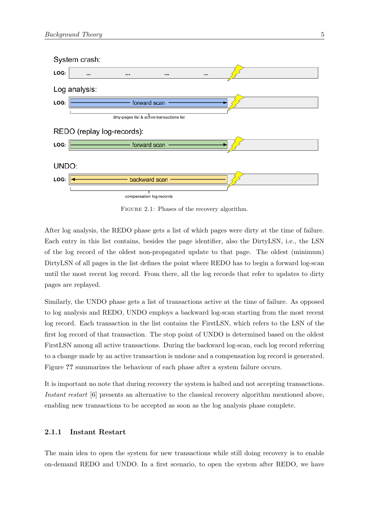

FIGURE 2.1: Phases of the recovery algorithm.

After log analysis, the REDO phase gets a list of which pages were dirty at the time of failure. Each entry in this list contains, besides the page identifier, also the DirtyLSN, i.e., the LSN of the log record of the oldest non-propagated update to that page. The oldest (minimum) DirtyLSN of all pages in the list defines the point where REDO has to begin a forward log-scan until the most recent log record. From there, all the log records that refer to updates to dirty pages are replayed.

Similarly, the UNDO phase gets a list of transactions active at the time of failure. As opposed to log analysis and REDO, UNDO employs a backward log-scan starting from the most recent log record. Each transaction in the list contains the FirstLSN, which refers to the LSN of the first log record of that transaction. The stop point of UNDO is determined based on the oldest FirstLSN among all active transactions. During the backward log-scan, each log record referring to a change made by an active transaction is undone and a compensation log record is generated. Figure ?? summarizes the behaviour of each phase after a system failure occurs.

It is important no note that during recovery the system is halted and not accepting transactions. Instant restart [\[6\]](#page-37-6) presents an alternative to the classical recovery algorithm mentioned above, enabling new transactions to be accepted as soon as the log analysis phase complete.

#### <span id="page-11-0"></span>2.1.1 Instant Restart

The main idea to open the system for new transactions while still doing recovery is to enable on-demand REDO and UNDO. In a first scenario, to open the system after REDO, we have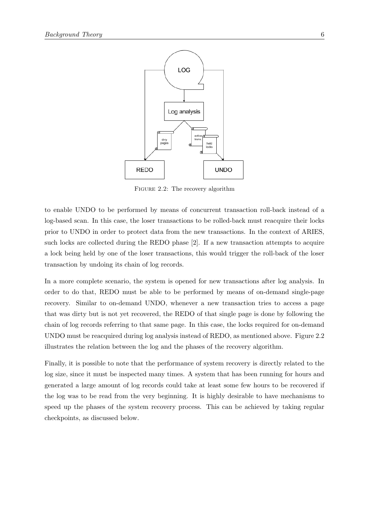<span id="page-12-0"></span>

FIGURE 2.2: The recovery algorithm

to enable UNDO to be performed by means of concurrent transaction roll-back instead of a log-based scan. In this case, the loser transactions to be rolled-back must reacquire their locks prior to UNDO in order to protect data from the new transactions. In the context of ARIES, such locks are collected during the REDO phase [\[2\]](#page-37-2). If a new transaction attempts to acquire a lock being held by one of the loser transactions, this would trigger the roll-back of the loser transaction by undoing its chain of log records.

In a more complete scenario, the system is opened for new transactions after log analysis. In order to do that, REDO must be able to be performed by means of on-demand single-page recovery. Similar to on-demand UNDO, whenever a new transaction tries to access a page that was dirty but is not yet recovered, the REDO of that single page is done by following the chain of log records referring to that same page. In this case, the locks required for on-demand UNDO must be reacquired during log analysis instead of REDO, as mentioned above. Figure [2.2](#page-12-0) illustrates the relation between the log and the phases of the recovery algorithm.

Finally, it is possible to note that the performance of system recovery is directly related to the log size, since it must be inspected many times. A system that has been running for hours and generated a large amount of log records could take at least some few hours to be recovered if the log was to be read from the very beginning. It is highly desirable to have mechanisms to speed up the phases of the system recovery process. This can be achieved by taking regular checkpoints, as discussed below.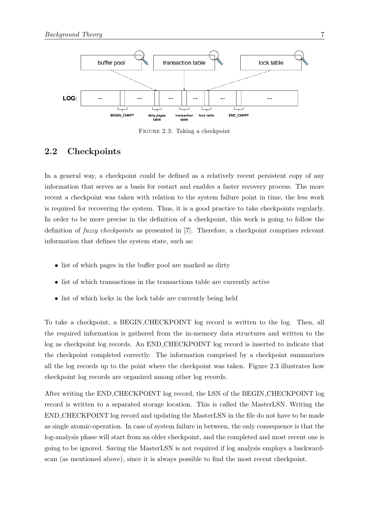<span id="page-13-1"></span>

FIGURE 2.3: Taking a checkpoint

### <span id="page-13-0"></span>2.2 Checkpoints

In a general way, a checkpoint could be defined as a relatively recent persistent copy of any information that serves as a basis for restart and enables a faster recovery process. The more recent a checkpoint was taken with relation to the system failure point in time, the less work is required for recovering the system. Thus, it is a good practice to take checkpoints regularly. In order to be more precise in the definition of a checkpoint, this work is going to follow the definition of *fuzzy checkpoints* as presented in [\[7\]](#page-37-7). Therefore, a checkpoint comprises relevant information that defines the system state, such as:

- list of which pages in the buffer pool are marked as dirty
- list of which transactions in the transactions table are currently active
- list of which locks in the lock table are currently being held

To take a checkpoint, a BEGIN CHECKPOINT log record is written to the log. Then, all the required information is gathered from the in-memory data structures and written to the log as checkpoint log records. An END CHECKPOINT log record is inserted to indicate that the checkpoint completed correctly. The information comprised by a checkpoint summarizes all the log records up to the point where the checkpoint was taken. Figure [2.3](#page-13-1) illustrates how checkpoint log records are organized among other log records.

After writing the END CHECKPOINT log record, the LSN of the BEGIN CHECKPOINT log record is written to a separated storage location. This is called the MasterLSN. Writing the END CHECKPOINT log record and updating the MasterLSN in the file do not have to be made as single atomic-operation. In case of system failure in between, the only consequence is that the log-analysis phase will start from an older checkpoint, and the completed and most recent one is going to be ignored. Saving the MasterLSN is not required if log analysis employs a backwardscan (as mentioned above), since it is always possible to find the most recent checkpoint.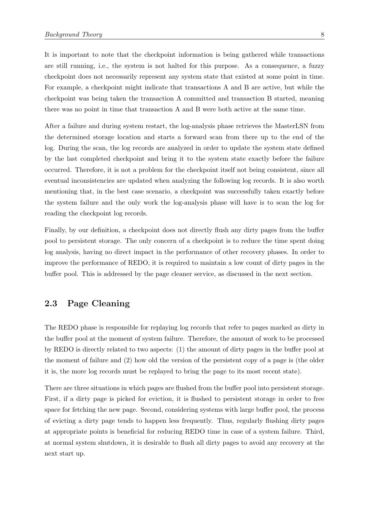It is important to note that the checkpoint information is being gathered while transactions are still running, i.e., the system is not halted for this purpose. As a consequence, a fuzzy checkpoint does not necessarily represent any system state that existed at some point in time. For example, a checkpoint might indicate that transactions A and B are active, but while the checkpoint was being taken the transaction A committed and transaction B started, meaning there was no point in time that transaction A and B were both active at the same time.

After a failure and during system restart, the log-analysis phase retrieves the MasterLSN from the determined storage location and starts a forward scan from there up to the end of the log. During the scan, the log records are analyzed in order to update the system state defined by the last completed checkpoint and bring it to the system state exactly before the failure occurred. Therefore, it is not a problem for the checkpoint itself not being consistent, since all eventual inconsistencies are updated when analyzing the following log records. It is also worth mentioning that, in the best case scenario, a checkpoint was successfully taken exactly before the system failure and the only work the log-analysis phase will have is to scan the log for reading the checkpoint log records.

Finally, by our definition, a checkpoint does not directly flush any dirty pages from the buffer pool to persistent storage. The only concern of a checkpoint is to reduce the time spent doing log analysis, having no direct impact in the performance of other recovery phases. In order to improve the performance of REDO, it is required to maintain a low count of dirty pages in the buffer pool. This is addressed by the page cleaner service, as discussed in the next section.

#### <span id="page-14-0"></span>2.3 Page Cleaning

The REDO phase is responsible for replaying log records that refer to pages marked as dirty in the buffer pool at the moment of system failure. Therefore, the amount of work to be processed by REDO is directly related to two aspects: (1) the amount of dirty pages in the buffer pool at the moment of failure and (2) how old the version of the persistent copy of a page is (the older it is, the more log records must be replayed to bring the page to its most recent state).

There are three situations in which pages are flushed from the buffer pool into persistent storage. First, if a dirty page is picked for eviction, it is flushed to persistent storage in order to free space for fetching the new page. Second, considering systems with large buffer pool, the process of evicting a dirty page tends to happen less frequently. Thus, regularly flushing dirty pages at appropriate points is beneficial for reducing REDO time in case of a system failure. Third, at normal system shutdown, it is desirable to flush all dirty pages to avoid any recovery at the next start up.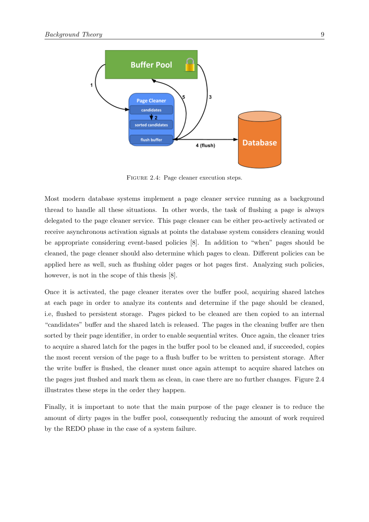<span id="page-15-0"></span>

FIGURE 2.4: Page cleaner execution steps.

Most modern database systems implement a page cleaner service running as a background thread to handle all these situations. In other words, the task of flushing a page is always delegated to the page cleaner service. This page cleaner can be either pro-actively activated or receive asynchronous activation signals at points the database system considers cleaning would be appropriate considering event-based policies [\[8\]](#page-37-8). In addition to "when" pages should be cleaned, the page cleaner should also determine which pages to clean. Different policies can be applied here as well, such as flushing older pages or hot pages first. Analyzing such policies, however, is not in the scope of this thesis [\[8\]](#page-37-8).

Once it is activated, the page cleaner iterates over the buffer pool, acquiring shared latches at each page in order to analyze its contents and determine if the page should be cleaned, i.e, flushed to persistent storage. Pages picked to be cleaned are then copied to an internal "candidates" buffer and the shared latch is released. The pages in the cleaning buffer are then sorted by their page identifier, in order to enable sequential writes. Once again, the cleaner tries to acquire a shared latch for the pages in the buffer pool to be cleaned and, if succeeded, copies the most recent version of the page to a flush buffer to be written to persistent storage. After the write buffer is flushed, the cleaner must once again attempt to acquire shared latches on the pages just flushed and mark them as clean, in case there are no further changes. Figure [2.4](#page-15-0) illustrates these steps in the order they happen.

Finally, it is important to note that the main purpose of the page cleaner is to reduce the amount of dirty pages in the buffer pool, consequently reducing the amount of work required by the REDO phase in the case of a system failure.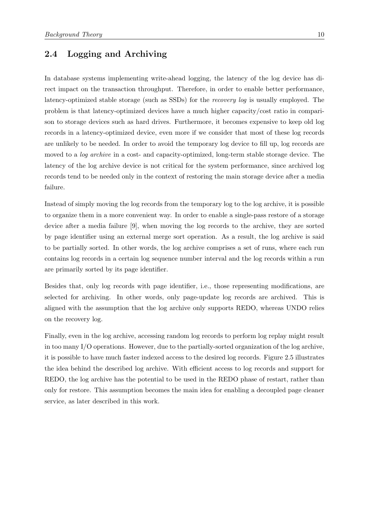#### <span id="page-16-0"></span>2.4 Logging and Archiving

In database systems implementing write-ahead logging, the latency of the log device has direct impact on the transaction throughput. Therefore, in order to enable better performance, latency-optimized stable storage (such as SSDs) for the recovery log is usually employed. The problem is that latency-optimized devices have a much higher capacity/cost ratio in comparison to storage devices such as hard drives. Furthermore, it becomes expensive to keep old log records in a latency-optimized device, even more if we consider that most of these log records are unlikely to be needed. In order to avoid the temporary log device to fill up, log records are moved to a *log archive* in a cost- and capacity-optimized, long-term stable storage device. The latency of the log archive device is not critical for the system performance, since archived log records tend to be needed only in the context of restoring the main storage device after a media failure.

Instead of simply moving the log records from the temporary log to the log archive, it is possible to organize them in a more convenient way. In order to enable a single-pass restore of a storage device after a media failure [\[9\]](#page-38-0), when moving the log records to the archive, they are sorted by page identifier using an external merge sort operation. As a result, the log archive is said to be partially sorted. In other words, the log archive comprises a set of runs, where each run contains log records in a certain log sequence number interval and the log records within a run are primarily sorted by its page identifier.

Besides that, only log records with page identifier, i.e., those representing modifications, are selected for archiving. In other words, only page-update log records are archived. This is aligned with the assumption that the log archive only supports REDO, whereas UNDO relies on the recovery log.

Finally, even in the log archive, accessing random log records to perform log replay might result in too many I/O operations. However, due to the partially-sorted organization of the log archive, it is possible to have much faster indexed access to the desired log records. Figure [2.5](#page-17-0) illustrates the idea behind the described log archive. With efficient access to log records and support for REDO, the log archive has the potential to be used in the REDO phase of restart, rather than only for restore. This assumption becomes the main idea for enabling a decoupled page cleaner service, as later described in this work.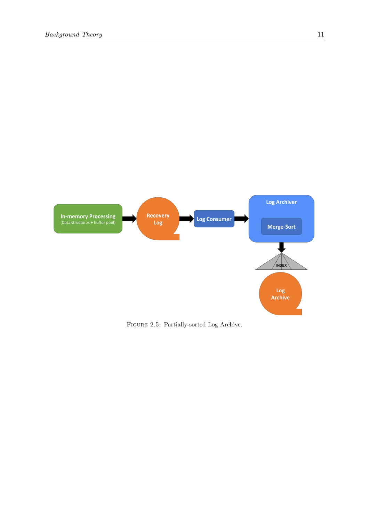<span id="page-17-0"></span>

FIGURE 2.5: Partially-sorted Log Archive.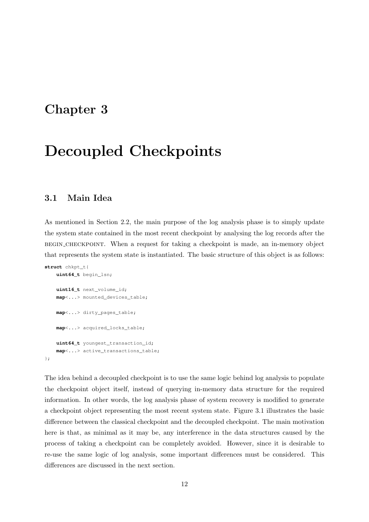### <span id="page-18-0"></span>Chapter 3

## Decoupled Checkpoints

### <span id="page-18-1"></span>3.1 Main Idea

As mentioned in Section [2.2,](#page-13-0) the main purpose of the log analysis phase is to simply update the system state contained in the most recent checkpoint by analysing the log records after the begin checkpoint. When a request for taking a checkpoint is made, an in-memory object that represents the system state is instantiated. The basic structure of this object is as follows:

```
struct chkpt_t{
    uint64_t begin_lsn;
    uint16_t next_volume_id;
    map<...> mounted_devices_table;
   map<...> dirty_pages_table;
   map<...> acquired_locks_table;
   uint64_t youngest_transaction_id;
   map<...> active_transactions_table;
};
```
The idea behind a decoupled checkpoint is to use the same logic behind log analysis to populate the checkpoint object itself, instead of querying in-memory data structure for the required information. In other words, the log analysis phase of system recovery is modified to generate a checkpoint object representing the most recent system state. Figure [3.1](#page-19-1) illustrates the basic difference between the classical checkpoint and the decoupled checkpoint. The main motivation here is that, as minimal as it may be, any interference in the data structures caused by the process of taking a checkpoint can be completely avoided. However, since it is desirable to re-use the same logic of log analysis, some important differences must be considered. This differences are discussed in the next section.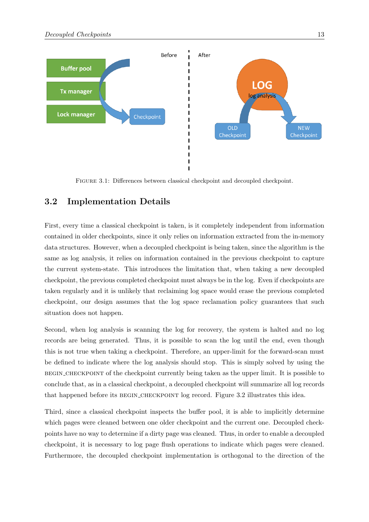<span id="page-19-1"></span>

Figure 3.1: Differences between classical checkpoint and decoupled checkpoint.

### <span id="page-19-0"></span>3.2 Implementation Details

First, every time a classical checkpoint is taken, is it completely independent from information contained in older checkpoints, since it only relies on information extracted from the in-memory data structures. However, when a decoupled checkpoint is being taken, since the algorithm is the same as log analysis, it relies on information contained in the previous checkpoint to capture the current system-state. This introduces the limitation that, when taking a new decoupled checkpoint, the previous completed checkpoint must always be in the log. Even if checkpoints are taken regularly and it is unlikely that reclaiming log space would erase the previous completed checkpoint, our design assumes that the log space reclamation policy guarantees that such situation does not happen.

Second, when log analysis is scanning the log for recovery, the system is halted and no log records are being generated. Thus, it is possible to scan the log until the end, even though this is not true when taking a checkpoint. Therefore, an upper-limit for the forward-scan must be defined to indicate where the log analysis should stop. This is simply solved by using the begin checkpoint of the checkpoint currently being taken as the upper limit. It is possible to conclude that, as in a classical checkpoint, a decoupled checkpoint will summarize all log records that happened before its BEGIN\_CHECKPOINT log record. Figure [3.2](#page-20-0) illustrates this idea.

Third, since a classical checkpoint inspects the buffer pool, it is able to implicitly determine which pages were cleaned between one older checkpoint and the current one. Decoupled checkpoints have no way to determine if a dirty page was cleaned. Thus, in order to enable a decoupled checkpoint, it is necessary to log page flush operations to indicate which pages were cleaned. Furthermore, the decoupled checkpoint implementation is orthogonal to the direction of the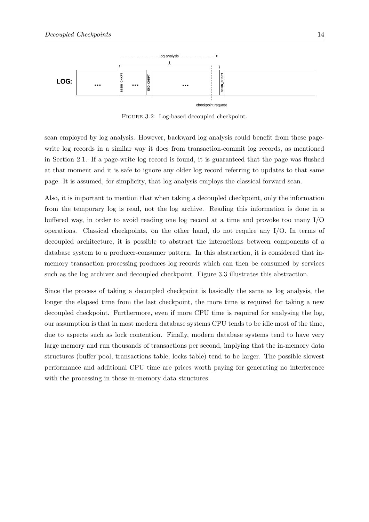<span id="page-20-0"></span>

FIGURE 3.2: Log-based decoupled checkpoint.

scan employed by log analysis. However, backward log analysis could benefit from these pagewrite log records in a similar way it does from transaction-commit log records, as mentioned in Section [2.1.](#page-10-1) If a page-write log record is found, it is guaranteed that the page was flushed at that moment and it is safe to ignore any older log record referring to updates to that same page. It is assumed, for simplicity, that log analysis employs the classical forward scan.

Also, it is important to mention that when taking a decoupled checkpoint, only the information from the temporary log is read, not the log archive. Reading this information is done in a buffered way, in order to avoid reading one log record at a time and provoke too many I/O operations. Classical checkpoints, on the other hand, do not require any I/O. In terms of decoupled architecture, it is possible to abstract the interactions between components of a database system to a producer-consumer pattern. In this abstraction, it is considered that inmemory transaction processing produces log records which can then be consumed by services such as the log archiver and decoupled checkpoint. Figure [3.3](#page-21-0) illustrates this abstraction.

Since the process of taking a decoupled checkpoint is basically the same as log analysis, the longer the elapsed time from the last checkpoint, the more time is required for taking a new decoupled checkpoint. Furthermore, even if more CPU time is required for analysing the log, our assumption is that in most modern database systems CPU tends to be idle most of the time, due to aspects such as lock contention. Finally, modern database systems tend to have very large memory and run thousands of transactions per second, implying that the in-memory data structures (buffer pool, transactions table, locks table) tend to be larger. The possible slowest performance and additional CPU time are prices worth paying for generating no interference with the processing in these in-memory data structures.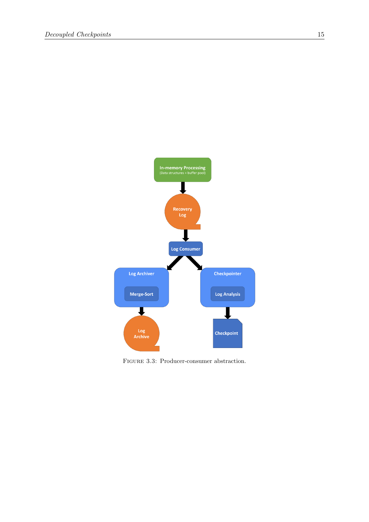<span id="page-21-0"></span>

FIGURE 3.3: Producer-consumer abstraction.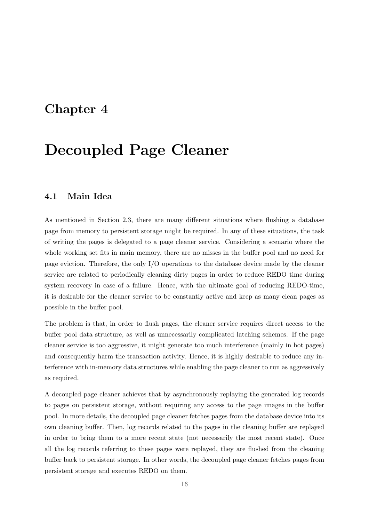### <span id="page-22-0"></span>Chapter 4

## Decoupled Page Cleaner

#### <span id="page-22-1"></span>4.1 Main Idea

As mentioned in Section [2.3,](#page-14-0) there are many different situations where flushing a database page from memory to persistent storage might be required. In any of these situations, the task of writing the pages is delegated to a page cleaner service. Considering a scenario where the whole working set fits in main memory, there are no misses in the buffer pool and no need for page eviction. Therefore, the only I/O operations to the database device made by the cleaner service are related to periodically cleaning dirty pages in order to reduce REDO time during system recovery in case of a failure. Hence, with the ultimate goal of reducing REDO-time, it is desirable for the cleaner service to be constantly active and keep as many clean pages as possible in the buffer pool.

The problem is that, in order to flush pages, the cleaner service requires direct access to the buffer pool data structure, as well as unnecessarily complicated latching schemes. If the page cleaner service is too aggressive, it might generate too much interference (mainly in hot pages) and consequently harm the transaction activity. Hence, it is highly desirable to reduce any interference with in-memory data structures while enabling the page cleaner to run as aggressively as required.

A decoupled page cleaner achieves that by asynchronously replaying the generated log records to pages on persistent storage, without requiring any access to the page images in the buffer pool. In more details, the decoupled page cleaner fetches pages from the database device into its own cleaning buffer. Then, log records related to the pages in the cleaning buffer are replayed in order to bring them to a more recent state (not necessarily the most recent state). Once all the log records referring to these pages were replayed, they are flushed from the cleaning buffer back to persistent storage. In other words, the decoupled page cleaner fetches pages from persistent storage and executes REDO on them.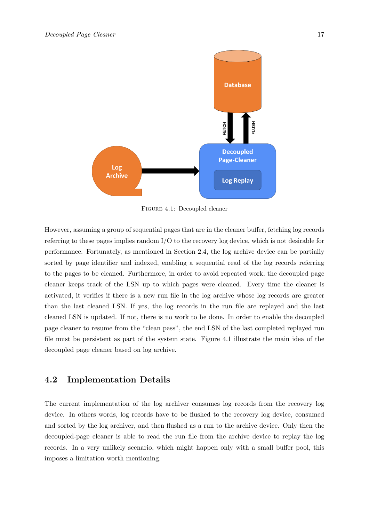<span id="page-23-1"></span>

Figure 4.1: Decoupled cleaner

However, assuming a group of sequential pages that are in the cleaner buffer, fetching log records referring to these pages implies random I/O to the recovery log device, which is not desirable for performance. Fortunately, as mentioned in Section [2.4,](#page-16-0) the log archive device can be partially sorted by page identifier and indexed, enabling a sequential read of the log records referring to the pages to be cleaned. Furthermore, in order to avoid repeated work, the decoupled page cleaner keeps track of the LSN up to which pages were cleaned. Every time the cleaner is activated, it verifies if there is a new run file in the log archive whose log records are greater than the last cleaned LSN. If yes, the log records in the run file are replayed and the last cleaned LSN is updated. If not, there is no work to be done. In order to enable the decoupled page cleaner to resume from the "clean pass", the end LSN of the last completed replayed run file must be persistent as part of the system state. Figure [4.1](#page-23-1) illustrate the main idea of the decoupled page cleaner based on log archive.

#### <span id="page-23-0"></span>4.2 Implementation Details

The current implementation of the log archiver consumes log records from the recovery log device. In others words, log records have to be flushed to the recovery log device, consumed and sorted by the log archiver, and then flushed as a run to the archive device. Only then the decoupled-page cleaner is able to read the run file from the archive device to replay the log records. In a very unlikely scenario, which might happen only with a small buffer pool, this imposes a limitation worth mentioning.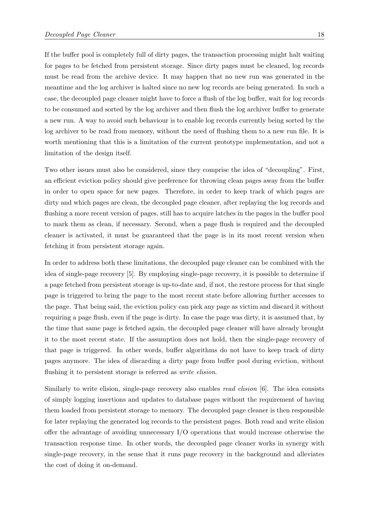If the buffer pool is completely full of dirty pages, the transaction processing might halt waiting for pages to be fetched from persistent storage. Since dirty pages must be cleaned, log records must be read from the archive device. It may happen that no new run was generated in the meantime and the log archiver is halted since no new log records are being generated. In such a case, the decoupled page cleaner might have to force a flush of the log buffer, wait for log records to be consumed and sorted by the log archiver and then flush the log archiver buffer to generate a new run. A way to avoid such behaviour is to enable log records currently being sorted by the log archiver to be read from memory, without the need of flushing them to a new run file. It is worth mentioning that this is a limitation of the current prototype implementation, and not a limitation of the design itself.

Two other issues must also be considered, since they comprise the idea of "decoupling". First, an efficient eviction policy should give preference for throwing clean pages away from the buffer in order to open space for new pages. Therefore, in order to keep track of which pages are dirty and which pages are clean, the decoupled page cleaner, after replaying the log records and flushing a more recent version of pages, still has to acquire latches in the pages in the buffer pool to mark them as clean, if necessary. Second, when a page flush is required and the decoupled cleaner is activated, it must be guaranteed that the page is in its most recent version when fetching it from persistent storage again.

In order to address both these limitations, the decoupled page cleaner can be combined with the idea of single-page recovery [\[5\]](#page-37-5). By employing single-page recovery, it is possible to determine if a page fetched from persistent storage is up-to-date and, if not, the restore process for that single page is triggered to bring the page to the most recent state before allowing further accesses to the page. That being said, the eviction policy can pick any page as victim and discard it without requiring a page flush, even if the page is dirty. In case the page was dirty, it is assumed that, by the time that same page is fetched again, the decoupled page cleaner will have already brought it to the most recent state. If the assumption does not hold, then the single-page recovery of that page is triggered. In other words, buffer algorithms do not have to keep track of dirty pages anymore. The idea of discarding a dirty page from buffer pool during eviction, without flushing it to persistent storage is referred as *write elision*.

Similarly to write elision, single-page recovery also enables *read elision* [\[6\]](#page-37-6). The idea consists of simply logging insertions and updates to database pages without the requirement of having them loaded from persistent storage to memory. The decoupled page cleaner is then responsible for later replaying the generated log records to the persistent pages. Both read and write elision offer the advantage of avoiding unnecessary I/O operations that would increase otherwise the transaction response time. In other words, the decoupled page cleaner works in synergy with single-page recovery, in the sense that it runs page recovery in the background and alleviates the cost of doing it on-demand.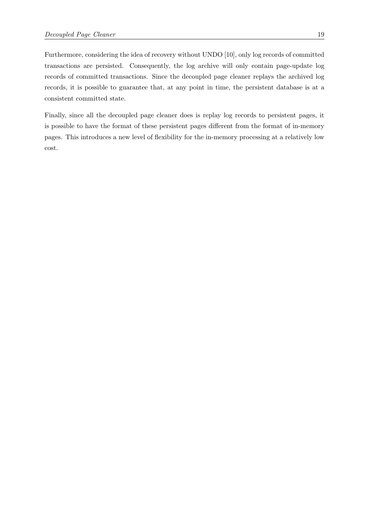Furthermore, considering the idea of recovery without UNDO [\[10\]](#page-38-1), only log records of committed transactions are persisted. Consequently, the log archive will only contain page-update log records of committed transactions. Since the decoupled page cleaner replays the archived log records, it is possible to guarantee that, at any point in time, the persistent database is at a consistent committed state.

Finally, since all the decoupled page cleaner does is replay log records to persistent pages, it is possible to have the format of these persistent pages different from the format of in-memory pages. This introduces a new level of flexibility for the in-memory processing at a relatively low cost.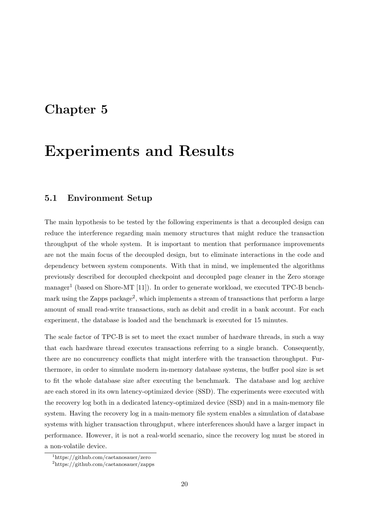### <span id="page-26-0"></span>Chapter 5

## Experiments and Results

### <span id="page-26-1"></span>5.1 Environment Setup

The main hypothesis to be tested by the following experiments is that a decoupled design can reduce the interference regarding main memory structures that might reduce the transaction throughput of the whole system. It is important to mention that performance improvements are not the main focus of the decoupled design, but to eliminate interactions in the code and dependency between system components. With that in mind, we implemented the algorithms previously described for decoupled checkpoint and decoupled page cleaner in the Zero storage manager<sup>[1](#page-26-2)</sup> (based on Shore-MT [\[11\]](#page-38-2)). In order to generate workload, we executed TPC-B bench-mark using the Zapps package<sup>[2](#page-26-3)</sup>, which implements a stream of transactions that perform a large amount of small read-write transactions, such as debit and credit in a bank account. For each experiment, the database is loaded and the benchmark is executed for 15 minutes.

The scale factor of TPC-B is set to meet the exact number of hardware threads, in such a way that each hardware thread executes transactions referring to a single branch. Consequently, there are no concurrency conflicts that might interfere with the transaction throughput. Furthermore, in order to simulate modern in-memory database systems, the buffer pool size is set to fit the whole database size after executing the benchmark. The database and log archive are each stored in its own latency-optimized device (SSD). The experiments were executed with the recovery log both in a dedicated latency-optimized device (SSD) and in a main-memory file system. Having the recovery log in a main-memory file system enables a simulation of database systems with higher transaction throughput, where interferences should have a larger impact in performance. However, it is not a real-world scenario, since the recovery log must be stored in a non-volatile device.

<span id="page-26-2"></span><sup>1</sup>https://github.com/caetanosauer/zero

<span id="page-26-3"></span><sup>2</sup>https://github.com/caetanosauer/zapps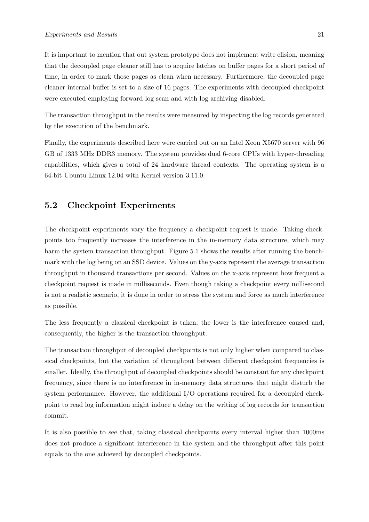It is important to mention that out system prototype does not implement write elision, meaning that the decoupled page cleaner still has to acquire latches on buffer pages for a short period of time, in order to mark those pages as clean when necessary. Furthermore, the decoupled page cleaner internal buffer is set to a size of 16 pages. The experiments with decoupled checkpoint were executed employing forward log scan and with log archiving disabled.

The transaction throughput in the results were measured by inspecting the log records generated by the execution of the benchmark.

Finally, the experiments described here were carried out on an Intel Xeon X5670 server with 96 GB of 1333 MHz DDR3 memory. The system provides dual 6-core CPUs with hyper-threading capabilities, which gives a total of 24 hardware thread contexts. The operating system is a 64-bit Ubuntu Linux 12.04 with Kernel version 3.11.0.

### <span id="page-27-0"></span>5.2 Checkpoint Experiments

The checkpoint experiments vary the frequency a checkpoint request is made. Taking checkpoints too frequently increases the interference in the in-memory data structure, which may harm the system transaction throughput. Figure [5.1](#page-28-0) shows the results after running the benchmark with the log being on an SSD device. Values on the y-axis represent the average transaction throughput in thousand transactions per second. Values on the x-axis represent how frequent a checkpoint request is made in milliseconds. Even though taking a checkpoint every millisecond is not a realistic scenario, it is done in order to stress the system and force as much interference as possible.

The less frequently a classical checkpoint is taken, the lower is the interference caused and, consequently, the higher is the transaction throughput.

The transaction throughput of decoupled checkpoints is not only higher when compared to classical checkpoints, but the variation of throughput between different checkpoint frequencies is smaller. Ideally, the throughput of decoupled checkpoints should be constant for any checkpoint frequency, since there is no interference in in-memory data structures that might disturb the system performance. However, the additional I/O operations required for a decoupled checkpoint to read log information might induce a delay on the writing of log records for transaction commit.

It is also possible to see that, taking classical checkpoints every interval higher than 1000ms does not produce a significant interference in the system and the throughput after this point equals to the one achieved by decoupled checkpoints.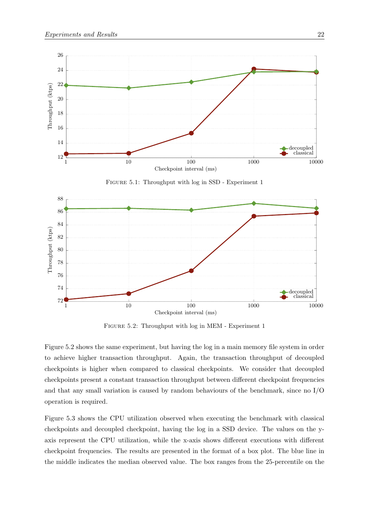<span id="page-28-0"></span>

Figure 5.1: Throughput with log in SSD - Experiment 1

<span id="page-28-1"></span>

Figure 5.2: Throughput with log in MEM - Experiment 1

Figure [5.2](#page-28-1) shows the same experiment, but having the log in a main memory file system in order to achieve higher transaction throughput. Again, the transaction throughput of decoupled checkpoints is higher when compared to classical checkpoints. We consider that decoupled checkpoints present a constant transaction throughput between different checkpoint frequencies and that any small variation is caused by random behaviours of the benchmark, since no I/O operation is required.

Figure [5.3](#page-30-1) shows the CPU utilization observed when executing the benchmark with classical checkpoints and decoupled checkpoint, having the log in a SSD device. The values on the yaxis represent the CPU utilization, while the x-axis shows different executions with different checkpoint frequencies. The results are presented in the format of a box plot. The blue line in the middle indicates the median observed value. The box ranges from the 25-percentile on the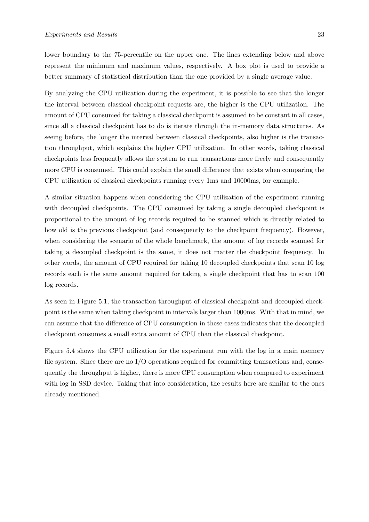lower boundary to the 75-percentile on the upper one. The lines extending below and above represent the minimum and maximum values, respectively. A box plot is used to provide a better summary of statistical distribution than the one provided by a single average value.

By analyzing the CPU utilization during the experiment, it is possible to see that the longer the interval between classical checkpoint requests are, the higher is the CPU utilization. The amount of CPU consumed for taking a classical checkpoint is assumed to be constant in all cases, since all a classical checkpoint has to do is iterate through the in-memory data structures. As seeing before, the longer the interval between classical checkpoints, also higher is the transaction throughput, which explains the higher CPU utilization. In other words, taking classical checkpoints less frequently allows the system to run transactions more freely and consequently more CPU is consumed. This could explain the small difference that exists when comparing the CPU utilization of classical checkpoints running every 1ms and 10000ms, for example.

A similar situation happens when considering the CPU utilization of the experiment running with decoupled checkpoints. The CPU consumed by taking a single decoupled checkpoint is proportional to the amount of log records required to be scanned which is directly related to how old is the previous checkpoint (and consequently to the checkpoint frequency). However, when considering the scenario of the whole benchmark, the amount of log records scanned for taking a decoupled checkpoint is the same, it does not matter the checkpoint frequency. In other words, the amount of CPU required for taking 10 decoupled checkpoints that scan 10 log records each is the same amount required for taking a single checkpoint that has to scan 100 log records.

As seen in Figure [5.1,](#page-28-0) the transaction throughput of classical checkpoint and decoupled checkpoint is the same when taking checkpoint in intervals larger than 1000ms. With that in mind, we can assume that the difference of CPU consumption in these cases indicates that the decoupled checkpoint consumes a small extra amount of CPU than the classical checkpoint.

Figure [5.4](#page-30-2) shows the CPU utilization for the experiment run with the log in a main memory file system. Since there are no I/O operations required for committing transactions and, consequently the throughput is higher, there is more CPU consumption when compared to experiment with log in SSD device. Taking that into consideration, the results here are similar to the ones already mentioned.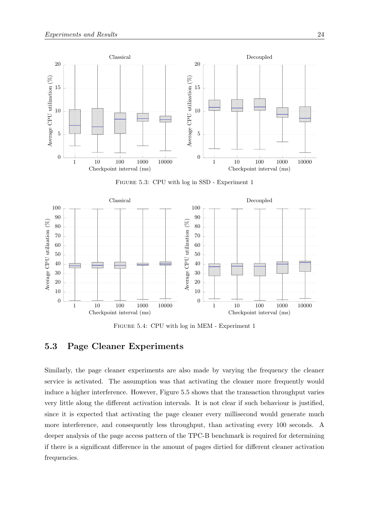<span id="page-30-1"></span>

Figure 5.3: CPU with log in SSD - Experiment 1

<span id="page-30-2"></span>

Figure 5.4: CPU with log in MEM - Experiment 1

#### <span id="page-30-0"></span>5.3 Page Cleaner Experiments

Similarly, the page cleaner experiments are also made by varying the frequency the cleaner service is activated. The assumption was that activating the cleaner more frequently would induce a higher interference. However, Figure [5.5](#page-31-0) shows that the transaction throughput varies very little along the different activation intervals. It is not clear if such behaviour is justified, since it is expected that activating the page cleaner every millisecond would generate much more interference, and consequently less throughput, than activating every 100 seconds. A deeper analysis of the page access pattern of the TPC-B benchmark is required for determining if there is a significant difference in the amount of pages dirtied for different cleaner activation frequencies.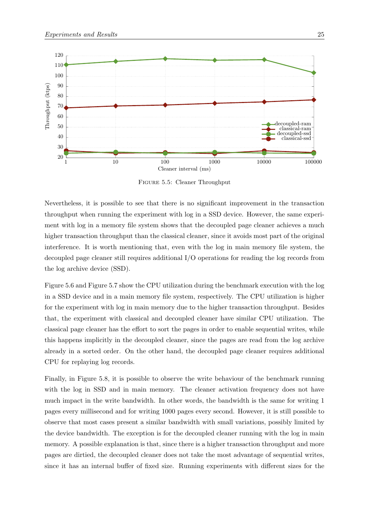<span id="page-31-0"></span>

Figure 5.5: Cleaner Throughput

Nevertheless, it is possible to see that there is no significant improvement in the transaction throughput when running the experiment with log in a SSD device. However, the same experiment with log in a memory file system shows that the decoupled page cleaner achieves a much higher transaction throughput than the classical cleaner, since it avoids most part of the original interference. It is worth mentioning that, even with the log in main memory file system, the decoupled page cleaner still requires additional I/O operations for reading the log records from the log archive device (SSD).

Figure [5.6](#page-32-0) and Figure [5.7](#page-32-1) show the CPU utilization during the benchmark execution with the log in a SSD device and in a main memory file system, respectively. The CPU utilization is higher for the experiment with log in main memory due to the higher transaction throughput. Besides that, the experiment with classical and decoupled cleaner have similar CPU utilization. The classical page cleaner has the effort to sort the pages in order to enable sequential writes, while this happens implicitly in the decoupled cleaner, since the pages are read from the log archive already in a sorted order. On the other hand, the decoupled page cleaner requires additional CPU for replaying log records.

Finally, in Figure [5.8,](#page-33-0) it is possible to observe the write behaviour of the benchmark running with the log in SSD and in main memory. The cleaner activation frequency does not have much impact in the write bandwidth. In other words, the bandwidth is the same for writing 1 pages every millisecond and for writing 1000 pages every second. However, it is still possible to observe that most cases present a similar bandwidth with small variations, possibly limited by the device bandwidth. The exception is for the decoupled cleaner running with the log in main memory. A possible explanation is that, since there is a higher transaction throughput and more pages are dirtied, the decoupled cleaner does not take the most advantage of sequential writes, since it has an internal buffer of fixed size. Running experiments with different sizes for the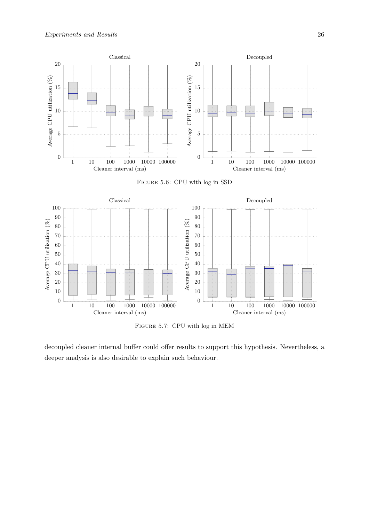<span id="page-32-0"></span>

Figure 5.6: CPU with log in SSD

<span id="page-32-1"></span>

Figure 5.7: CPU with log in MEM

decoupled cleaner internal buffer could offer results to support this hypothesis. Nevertheless, a deeper analysis is also desirable to explain such behaviour.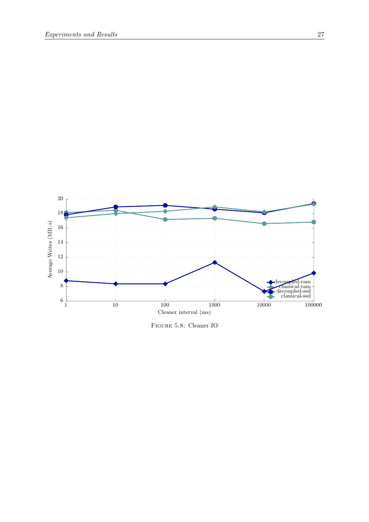<span id="page-33-0"></span>

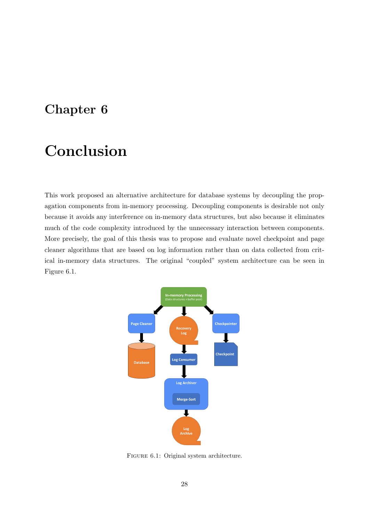## <span id="page-34-0"></span>Chapter 6

## Conclusion

This work proposed an alternative architecture for database systems by decoupling the propagation components from in-memory processing. Decoupling components is desirable not only because it avoids any interference on in-memory data structures, but also because it eliminates much of the code complexity introduced by the unnecessary interaction between components. More precisely, the goal of this thesis was to propose and evaluate novel checkpoint and page cleaner algorithms that are based on log information rather than on data collected from critical in-memory data structures. The original "coupled" system architecture can be seen in Figure [6.1.](#page-34-1)

<span id="page-34-1"></span>

FIGURE 6.1: Original system architecture.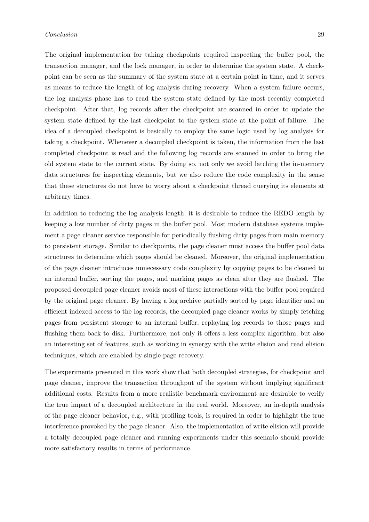The original implementation for taking checkpoints required inspecting the buffer pool, the transaction manager, and the lock manager, in order to determine the system state. A checkpoint can be seen as the summary of the system state at a certain point in time, and it serves as means to reduce the length of log analysis during recovery. When a system failure occurs, the log analysis phase has to read the system state defined by the most recently completed checkpoint. After that, log records after the checkpoint are scanned in order to update the system state defined by the last checkpoint to the system state at the point of failure. The idea of a decoupled checkpoint is basically to employ the same logic used by log analysis for taking a checkpoint. Whenever a decoupled checkpoint is taken, the information from the last completed checkpoint is read and the following log records are scanned in order to bring the old system state to the current state. By doing so, not only we avoid latching the in-memory data structures for inspecting elements, but we also reduce the code complexity in the sense that these structures do not have to worry about a checkpoint thread querying its elements at arbitrary times.

In addition to reducing the log analysis length, it is desirable to reduce the REDO length by keeping a low number of dirty pages in the buffer pool. Most modern database systems implement a page cleaner service responsible for periodically flushing dirty pages from main memory to persistent storage. Similar to checkpoints, the page cleaner must access the buffer pool data structures to determine which pages should be cleaned. Moreover, the original implementation of the page cleaner introduces unnecessary code complexity by copying pages to be cleaned to an internal buffer, sorting the pages, and marking pages as clean after they are flushed. The proposed decoupled page cleaner avoids most of these interactions with the buffer pool required by the original page cleaner. By having a log archive partially sorted by page identifier and an efficient indexed access to the log records, the decoupled page cleaner works by simply fetching pages from persistent storage to an internal buffer, replaying log records to those pages and flushing them back to disk. Furthermore, not only it offers a less complex algorithm, but also an interesting set of features, such as working in synergy with the write elision and read elision techniques, which are enabled by single-page recovery.

The experiments presented in this work show that both decoupled strategies, for checkpoint and page cleaner, improve the transaction throughput of the system without implying significant additional costs. Results from a more realistic benchmark environment are desirable to verify the true impact of a decoupled architecture in the real world. Moreover, an in-depth analysis of the page cleaner behavior, e.g., with profiling tools, is required in order to highlight the true interference provoked by the page cleaner. Also, the implementation of write elision will provide a totally decoupled page cleaner and running experiments under this scenario should provide more satisfactory results in terms of performance.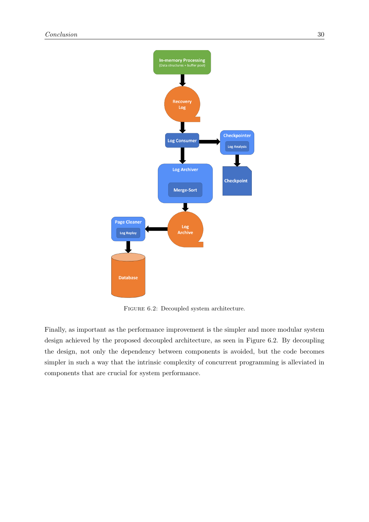<span id="page-36-0"></span>

FIGURE 6.2: Decoupled system architecture.

Finally, as important as the performance improvement is the simpler and more modular system design achieved by the proposed decoupled architecture, as seen in Figure [6.2.](#page-36-0) By decoupling the design, not only the dependency between components is avoided, but the code becomes simpler in such a way that the intrinsic complexity of concurrent programming is alleviated in components that are crucial for system performance.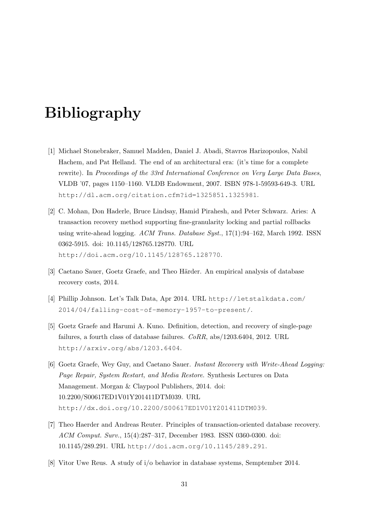## <span id="page-37-0"></span>Bibliography

- <span id="page-37-1"></span>[1] Michael Stonebraker, Samuel Madden, Daniel J. Abadi, Stavros Harizopoulos, Nabil Hachem, and Pat Helland. The end of an architectural era: (it's time for a complete rewrite). In Proceedings of the 33rd International Conference on Very Large Data Bases, VLDB '07, pages 1150–1160. VLDB Endowment, 2007. ISBN 978-1-59593-649-3. URL <http://dl.acm.org/citation.cfm?id=1325851.1325981>.
- <span id="page-37-2"></span>[2] C. Mohan, Don Haderle, Bruce Lindsay, Hamid Pirahesh, and Peter Schwarz. Aries: A transaction recovery method supporting fine-granularity locking and partial rollbacks using write-ahead logging. ACM Trans. Database Syst., 17(1):94–162, March 1992. ISSN 0362-5915. doi: 10.1145/128765.128770. URL <http://doi.acm.org/10.1145/128765.128770>.
- <span id="page-37-4"></span>[3] Caetano Sauer, Goetz Graefe, and Theo Härder. An empirical analysis of database recovery costs, 2014.
- <span id="page-37-3"></span>[4] Phillip Johnson. Let's Talk Data, Apr 2014. URL [http://letstalkdata.com/](http://letstalkdata.com/2014/04/falling-cost-of-memory-1957-to-present/) [2014/04/falling-cost-of-memory-1957-to-present/](http://letstalkdata.com/2014/04/falling-cost-of-memory-1957-to-present/).
- <span id="page-37-5"></span>[5] Goetz Graefe and Harumi A. Kuno. Definition, detection, and recovery of single-page failures, a fourth class of database failures. CoRR, abs/1203.6404, 2012. URL <http://arxiv.org/abs/1203.6404>.
- <span id="page-37-6"></span>[6] Goetz Graefe, Wey Guy, and Caetano Sauer. Instant Recovery with Write-Ahead Logging: Page Repair, System Restart, and Media Restore. Synthesis Lectures on Data Management. Morgan & Claypool Publishers, 2014. doi: 10.2200/S00617ED1V01Y201411DTM039. URL <http://dx.doi.org/10.2200/S00617ED1V01Y201411DTM039>.
- <span id="page-37-7"></span>[7] Theo Haerder and Andreas Reuter. Principles of transaction-oriented database recovery. ACM Comput. Surv., 15(4):287–317, December 1983. ISSN 0360-0300. doi: 10.1145/289.291. URL <http://doi.acm.org/10.1145/289.291>.
- <span id="page-37-8"></span>[8] Vitor Uwe Reus. A study of i/o behavior in database systems, Semptember 2014.